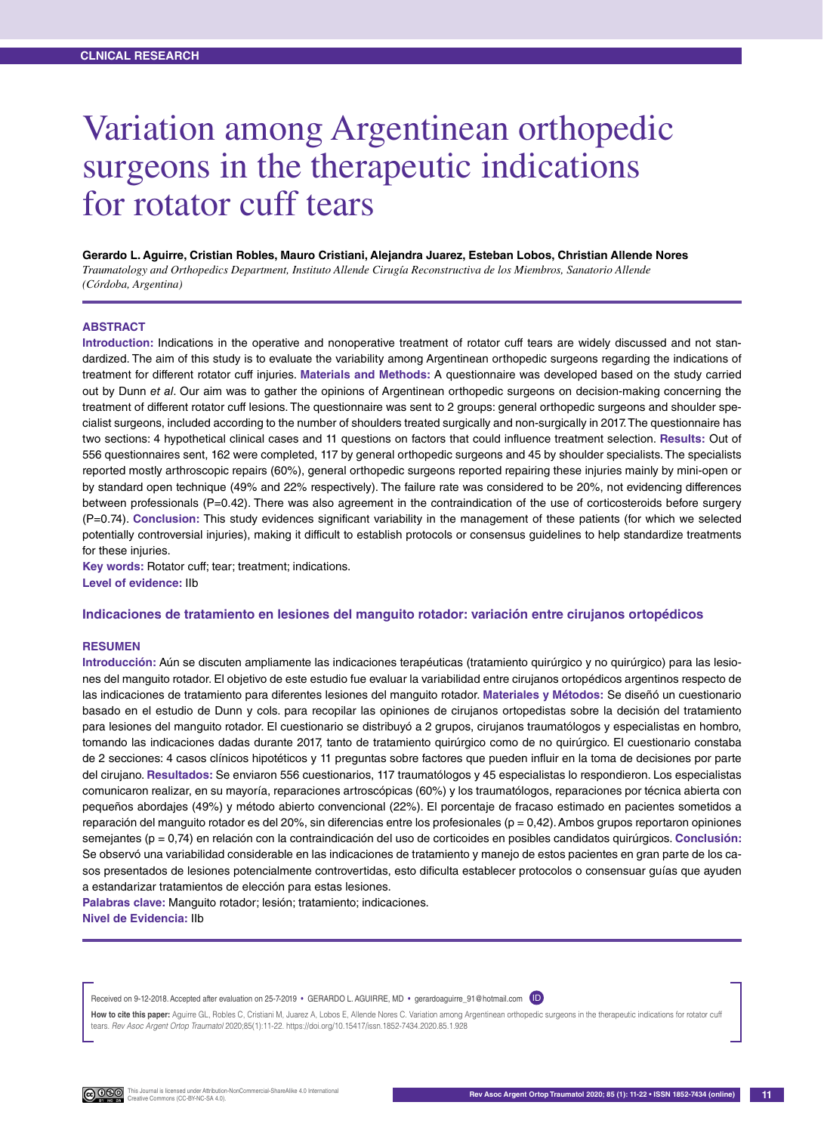# Variation among Argentinean orthopedic surgeons in the therapeutic indications for rotator cuff tears

**Gerardo L. Aguirre, Cristian Robles, Mauro Cristiani, Alejandra Juarez, Esteban Lobos, Christian Allende Nores** *Traumatology and Orthopedics Department, Instituto Allende Cirugía Reconstructiva de los Miembros, Sanatorio Allende (Córdoba, Argentina)*

#### **ABSTRACT**

**Introduction:** Indications in the operative and nonoperative treatment of rotator cuff tears are widely discussed and not standardized. The aim of this study is to evaluate the variability among Argentinean orthopedic surgeons regarding the indications of treatment for different rotator cuff injuries. **Materials and Methods:** A questionnaire was developed based on the study carried out by Dunn *et al*. Our aim was to gather the opinions of Argentinean orthopedic surgeons on decision-making concerning the treatment of different rotator cuff lesions. The questionnaire was sent to 2 groups: general orthopedic surgeons and shoulder specialist surgeons, included according to the number of shoulders treated surgically and non-surgically in 2017. The questionnaire has two sections: 4 hypothetical clinical cases and 11 questions on factors that could influence treatment selection. **Results:** Out of 556 questionnaires sent, 162 were completed, 117 by general orthopedic surgeons and 45 by shoulder specialists. The specialists reported mostly arthroscopic repairs (60%), general orthopedic surgeons reported repairing these injuries mainly by mini-open or by standard open technique (49% and 22% respectively). The failure rate was considered to be 20%, not evidencing differences between professionals (P=0.42). There was also agreement in the contraindication of the use of corticosteroids before surgery (P=0.74). **Conclusion:** This study evidences significant variability in the management of these patients (for which we selected potentially controversial injuries), making it difficult to establish protocols or consensus guidelines to help standardize treatments for these injuries.

**Key words:** Rotator cuff; tear; treatment; indications. **Level of evidence:** IIb

#### **Indicaciones de tratamiento en lesiones del manguito rotador: variación entre cirujanos ortopédicos**

#### **Resumen**

**Introducción:** Aún se discuten ampliamente las indicaciones terapéuticas (tratamiento quirúrgico y no quirúrgico) para las lesiones del manguito rotador. El objetivo de este estudio fue evaluar la variabilidad entre cirujanos ortopédicos argentinos respecto de las indicaciones de tratamiento para diferentes lesiones del manguito rotador. **Materiales y Métodos:** Se diseñó un cuestionario basado en el estudio de Dunn y cols. para recopilar las opiniones de cirujanos ortopedistas sobre la decisión del tratamiento para lesiones del manguito rotador. El cuestionario se distribuyó a 2 grupos, cirujanos traumatólogos y especialistas en hombro, tomando las indicaciones dadas durante 2017, tanto de tratamiento quirúrgico como de no quirúrgico. El cuestionario constaba de 2 secciones: 4 casos clínicos hipotéticos y 11 preguntas sobre factores que pueden influir en la toma de decisiones por parte del cirujano. **Resultados:** Se enviaron 556 cuestionarios, 117 traumatólogos y 45 especialistas lo respondieron. Los especialistas comunicaron realizar, en su mayoría, reparaciones artroscópicas (60%) y los traumatólogos, reparaciones por técnica abierta con pequeños abordajes (49%) y método abierto convencional (22%). El porcentaje de fracaso estimado en pacientes sometidos a reparación del manguito rotador es del 20%, sin diferencias entre los profesionales ( $p = 0.42$ ). Ambos grupos reportaron opiniones semejantes (p = 0,74) en relación con la contraindicación del uso de corticoides en posibles candidatos quirúrgicos. **Conclusión:**  Se observó una variabilidad considerable en las indicaciones de tratamiento y manejo de estos pacientes en gran parte de los casos presentados de lesiones potencialmente controvertidas, esto dificulta establecer protocolos o consensuar guías que ayuden a estandarizar tratamientos de elección para estas lesiones.

**Palabras clave:** Manguito rotador; lesión; tratamiento; indicaciones. **Nivel de Evidencia:** IIb

Received on 9-12-2018. Accepted after evaluation on 25-7-2019 • GERARDO L. AGUIRRE, MD • gerardoaguirre\_91@hotmail.com (ID)

How to cite this paper: Aguirre GL, Robles C, Cristiani M, Juarez A, Lobos E, Allende Nores C. Variation among Argentinean orthopedic surgeons in the therapeutic indications for rotator cuff tears. *Rev Asoc Argent Ortop Traumatol* 2020;85(1):11-22. https://doi.org/10.15417/issn.1852-7434.2020.85.1.928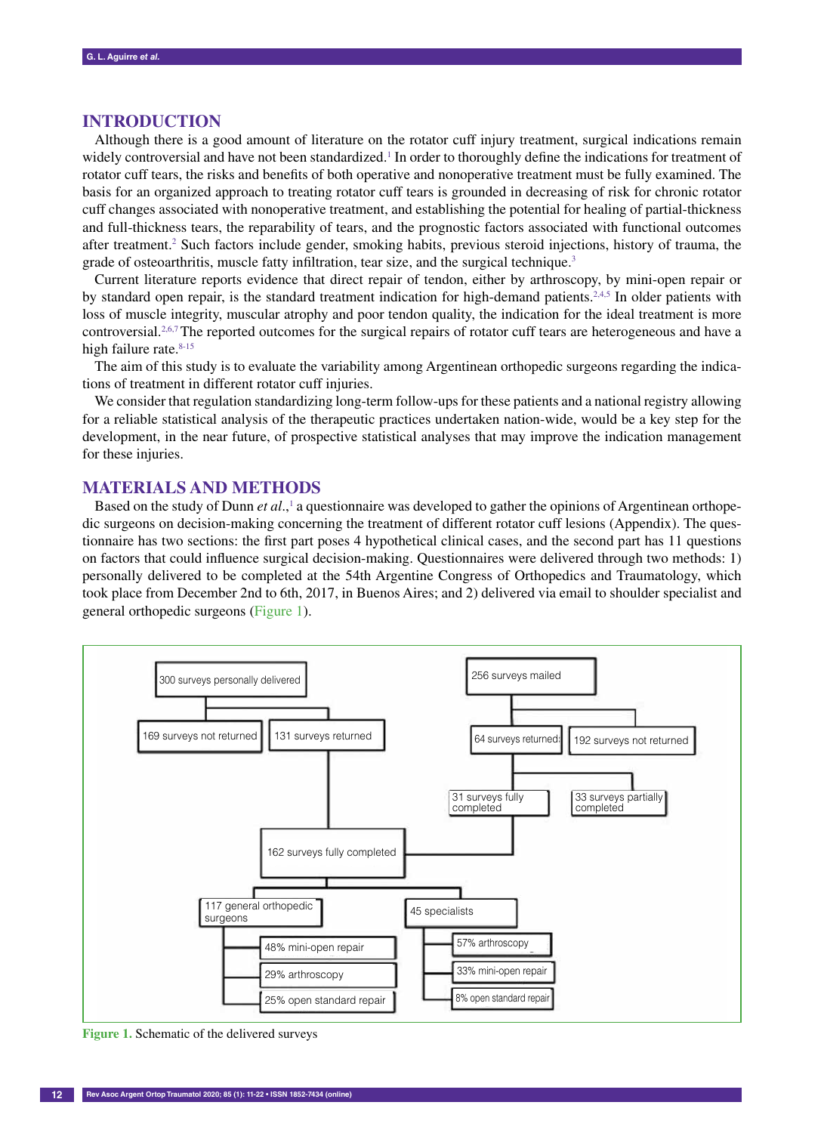### **Introduction**

Although there is a good amount of literature on the rotator cuff injury treatment, surgical indications remain widely controversial and have not been standardized.<sup>1</sup> In order to thoroughly define the indications for treatment of rotator cuff tears, the risks and benefits of both operative and nonoperative treatment must be fully examined. The basis for an organized approach to treating rotator cuff tears is grounded in decreasing of risk for chronic rotator cuff changes associated with nonoperative treatment, and establishing the potential for healing of partial-thickness and full-thickness tears, the reparability of tears, and the prognostic factors associated with functional outcomes after treatment.<sup>2</sup> Such factors include gender, smoking habits, previous steroid injections, history of trauma, the grade of osteoarthritis, muscle fatty infiltration, tear size, and the surgical technique.<sup>3</sup>

Current literature reports evidence that direct repair of tendon, either by arthroscopy, by mini-open repair or by standard open repair, is the standard treatment indication for high-demand patients.<sup>2,4,5</sup> In older patients with loss of muscle integrity, muscular atrophy and poor tendon quality, the indication for the ideal treatment is more controversial.<sup>2,6,7</sup>The reported outcomes for the surgical repairs of rotator cuff tears are heterogeneous and have a high failure rate. $8-15$ 

The aim of this study is to evaluate the variability among Argentinean orthopedic surgeons regarding the indications of treatment in different rotator cuff injuries.

We consider that regulation standardizing long-term follow-ups for these patients and a national registry allowing for a reliable statistical analysis of the therapeutic practices undertaken nation-wide, would be a key step for the development, in the near future, of prospective statistical analyses that may improve the indication management for these injuries.

## **Materials and Methods**

Based on the study of Dunn *et al.*,<sup>1</sup> a questionnaire was developed to gather the opinions of Argentinean orthopedic surgeons on decision-making concerning the treatment of different rotator cuff lesions (Appendix). The questionnaire has two sections: the first part poses 4 hypothetical clinical cases, and the second part has 11 questions on factors that could influence surgical decision-making. Questionnaires were delivered through two methods: 1) personally delivered to be completed at the 54th Argentine Congress of Orthopedics and Traumatology, which took place from December 2nd to 6th, 2017, in Buenos Aires; and 2) delivered via email to shoulder specialist and general orthopedic surgeons (Figure 1).



**Figure 1.** Schematic of the delivered surveys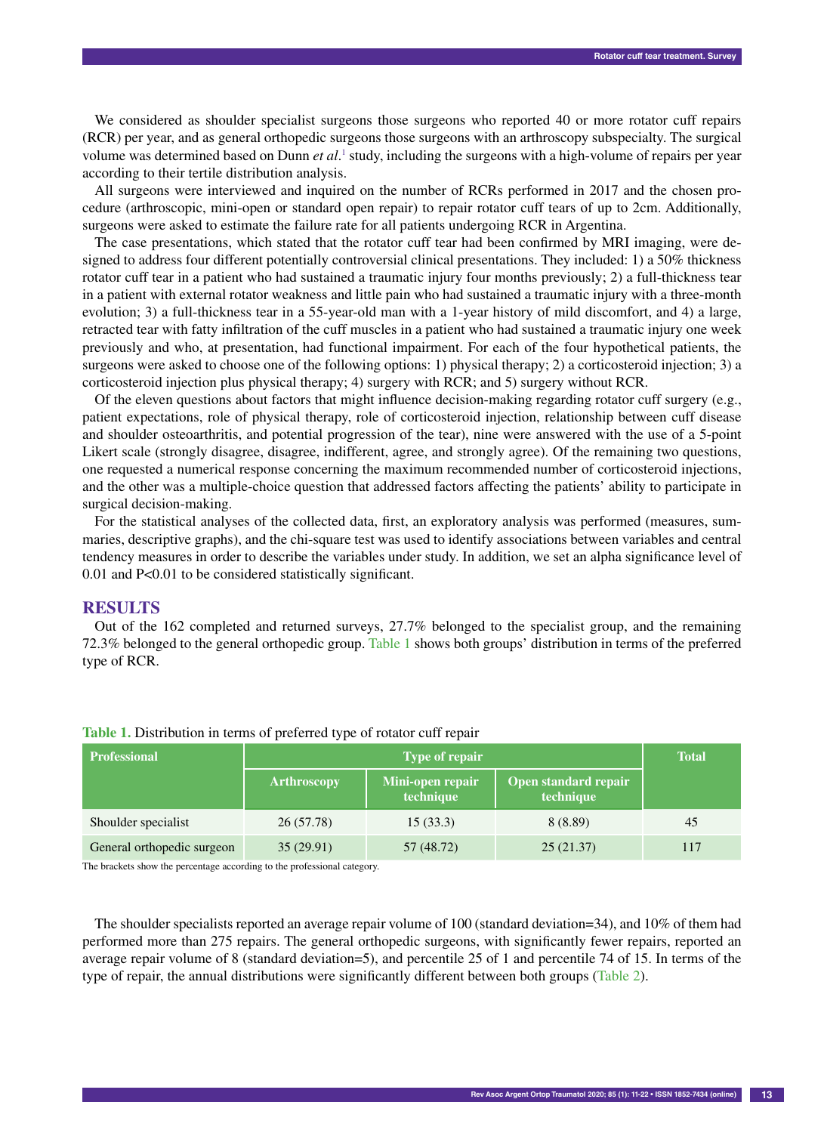We considered as shoulder specialist surgeons those surgeons who reported 40 or more rotator cuff repairs (RCR) per year, and as general orthopedic surgeons those surgeons with an arthroscopy subspecialty. The surgical volume was determined based on Dunn *et al*.<sup>1</sup> study, including the surgeons with a high-volume of repairs per year according to their tertile distribution analysis.

All surgeons were interviewed and inquired on the number of RCRs performed in 2017 and the chosen procedure (arthroscopic, mini-open or standard open repair) to repair rotator cuff tears of up to 2cm. Additionally, surgeons were asked to estimate the failure rate for all patients undergoing RCR in Argentina.

The case presentations, which stated that the rotator cuff tear had been confirmed by MRI imaging, were designed to address four different potentially controversial clinical presentations. They included: 1) a 50% thickness rotator cuff tear in a patient who had sustained a traumatic injury four months previously; 2) a full-thickness tear in a patient with external rotator weakness and little pain who had sustained a traumatic injury with a three-month evolution; 3) a full-thickness tear in a 55-year-old man with a 1-year history of mild discomfort, and 4) a large, retracted tear with fatty infiltration of the cuff muscles in a patient who had sustained a traumatic injury one week previously and who, at presentation, had functional impairment. For each of the four hypothetical patients, the surgeons were asked to choose one of the following options: 1) physical therapy; 2) a corticosteroid injection; 3) a corticosteroid injection plus physical therapy; 4) surgery with RCR; and 5) surgery without RCR.

Of the eleven questions about factors that might influence decision-making regarding rotator cuff surgery (e.g., patient expectations, role of physical therapy, role of corticosteroid injection, relationship between cuff disease and shoulder osteoarthritis, and potential progression of the tear), nine were answered with the use of a 5-point Likert scale (strongly disagree, disagree, indifferent, agree, and strongly agree). Of the remaining two questions, one requested a numerical response concerning the maximum recommended number of corticosteroid injections, and the other was a multiple-choice question that addressed factors affecting the patients' ability to participate in surgical decision-making.

For the statistical analyses of the collected data, first, an exploratory analysis was performed (measures, summaries, descriptive graphs), and the chi-square test was used to identify associations between variables and central tendency measures in order to describe the variables under study. In addition, we set an alpha significance level of 0.01 and P<0.01 to be considered statistically significant.

### **Results**

Out of the 162 completed and returned surveys, 27.7% belonged to the specialist group, and the remaining 72.3% belonged to the general orthopedic group. Table 1 shows both groups' distribution in terms of the preferred type of RCR.

| <b>Professional</b>        |                    | <b>Total</b>                  |                                   |     |  |
|----------------------------|--------------------|-------------------------------|-----------------------------------|-----|--|
|                            | <b>Arthroscopy</b> | Mini-open repair<br>technique | Open standard repair<br>technique |     |  |
| Shoulder specialist        | 26(57.78)          | 15(33.3)                      | 8 (8.89)                          | 45  |  |
| General orthopedic surgeon | 35(29.91)          | 57 (48.72)                    | 25(21.37)                         | 117 |  |

#### **Table 1.** Distribution in terms of preferred type of rotator cuff repair

The brackets show the percentage according to the professional category.

The shoulder specialists reported an average repair volume of 100 (standard deviation=34), and 10% of them had performed more than 275 repairs. The general orthopedic surgeons, with significantly fewer repairs, reported an average repair volume of 8 (standard deviation=5), and percentile 25 of 1 and percentile 74 of 15. In terms of the type of repair, the annual distributions were significantly different between both groups (Table 2).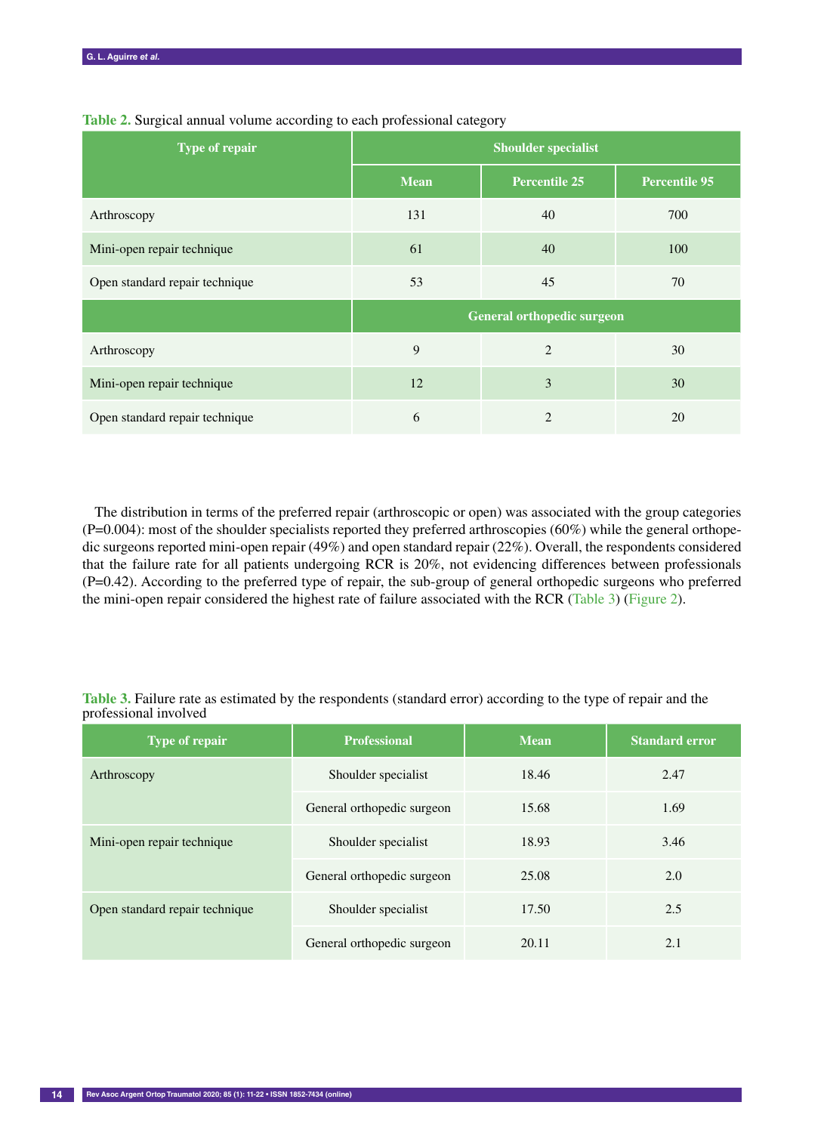| Type of repair                 | <b>Shoulder specialist</b>        |                      |                      |  |  |
|--------------------------------|-----------------------------------|----------------------|----------------------|--|--|
|                                | <b>Mean</b>                       | <b>Percentile 25</b> | <b>Percentile 95</b> |  |  |
| Arthroscopy                    | 131                               | 40                   | 700                  |  |  |
| Mini-open repair technique     | 61                                | 40                   | 100                  |  |  |
| Open standard repair technique | 53                                | 45                   | 70                   |  |  |
|                                | <b>General orthopedic surgeon</b> |                      |                      |  |  |
| Arthroscopy                    | 9                                 | 2                    | 30                   |  |  |
| Mini-open repair technique     | 12                                | 3                    | 30                   |  |  |
| Open standard repair technique | 6                                 | $\overline{2}$       | 20                   |  |  |

**Table 2.** Surgical annual volume according to each professional category

The distribution in terms of the preferred repair (arthroscopic or open) was associated with the group categories  $(P=0.004)$ : most of the shoulder specialists reported they preferred arthroscopies  $(60%)$  while the general orthopedic surgeons reported mini-open repair (49%) and open standard repair (22%). Overall, the respondents considered that the failure rate for all patients undergoing RCR is 20%, not evidencing differences between professionals (P=0.42). According to the preferred type of repair, the sub-group of general orthopedic surgeons who preferred the mini-open repair considered the highest rate of failure associated with the RCR (Table 3) (Figure 2).

**Table 3.** Failure rate as estimated by the respondents (standard error) according to the type of repair and the professional involved

| <b>Type of repair</b>          | <b>Professional</b>        | <b>Mean</b> | <b>Standard error</b> |  |
|--------------------------------|----------------------------|-------------|-----------------------|--|
| Arthroscopy                    | Shoulder specialist        | 18.46       | 2.47                  |  |
|                                | General orthopedic surgeon | 15.68       | 1.69                  |  |
| Mini-open repair technique     | Shoulder specialist        | 18.93       | 3.46                  |  |
|                                | General orthopedic surgeon | 25.08       | 2.0                   |  |
| Open standard repair technique | Shoulder specialist        | 17.50       | 2.5                   |  |
|                                | General orthopedic surgeon | 20.11       | 2.1                   |  |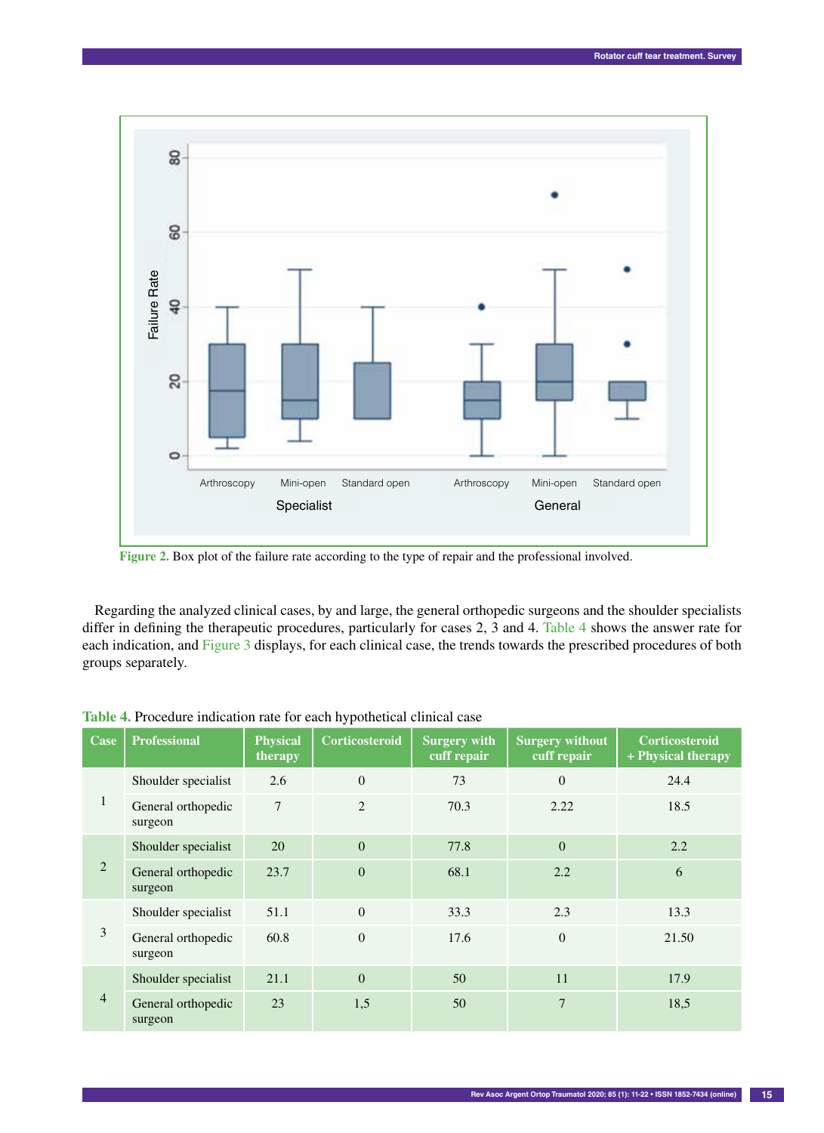

Regarding the analyzed clinical cases, by and large, the general orthopedic surgeons and the shoulder specialists differ in defining the therapeutic procedures, particularly for cases 2, 3 and 4. Table 4 shows the answer rate for each indication, and Figure 3 displays, for each clinical case, the trends towards the prescribed procedures of both groups separately.

| Case           | <b>Professional</b>           | <b>Physical</b><br>therapy | Corticosteroid | <b>Surgery with</b><br>cuff repair | <b>Surgery without</b><br>cuff repair | <b>Corticosteroid</b><br>+ Physical therapy |
|----------------|-------------------------------|----------------------------|----------------|------------------------------------|---------------------------------------|---------------------------------------------|
| $\mathbf{I}$   | Shoulder specialist           | 2.6                        | $\theta$       | 73                                 | $\theta$                              | 24.4                                        |
|                | General orthopedic<br>surgeon | 7                          | $\overline{2}$ | 70.3                               | 2.22                                  | 18.5                                        |
| $\overline{2}$ | Shoulder specialist           | 20                         | $\Omega$       | 77.8                               | $\theta$                              | 2.2                                         |
|                | General orthopedic<br>surgeon | 23.7                       | $\overline{0}$ | 68.1                               | 2.2                                   | 6                                           |
| 3              | Shoulder specialist           | 51.1                       | $\Omega$       | 33.3                               | 2.3                                   | 13.3                                        |
|                | General orthopedic<br>surgeon | 60.8                       | $\Omega$       | 17.6                               | $\theta$                              | 21.50                                       |
| 4              | Shoulder specialist           | 21.1                       | $\Omega$       | 50                                 | 11                                    | 17.9                                        |
|                | General orthopedic<br>surgeon | 23                         | 1,5            | 50                                 | 7                                     | 18,5                                        |

**Table 4.** Procedure indication rate for each hypothetical clinical case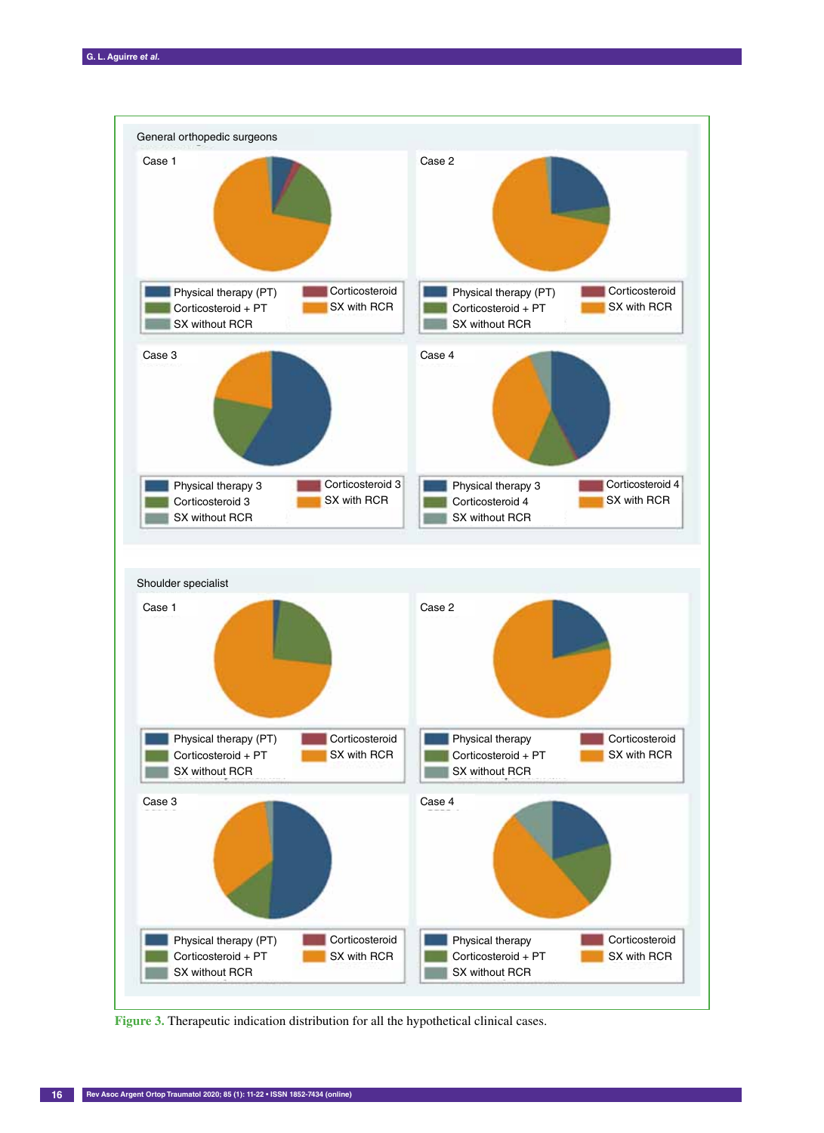

Figure 3. Therapeutic indication distribution for all the hypothetical clinical cases.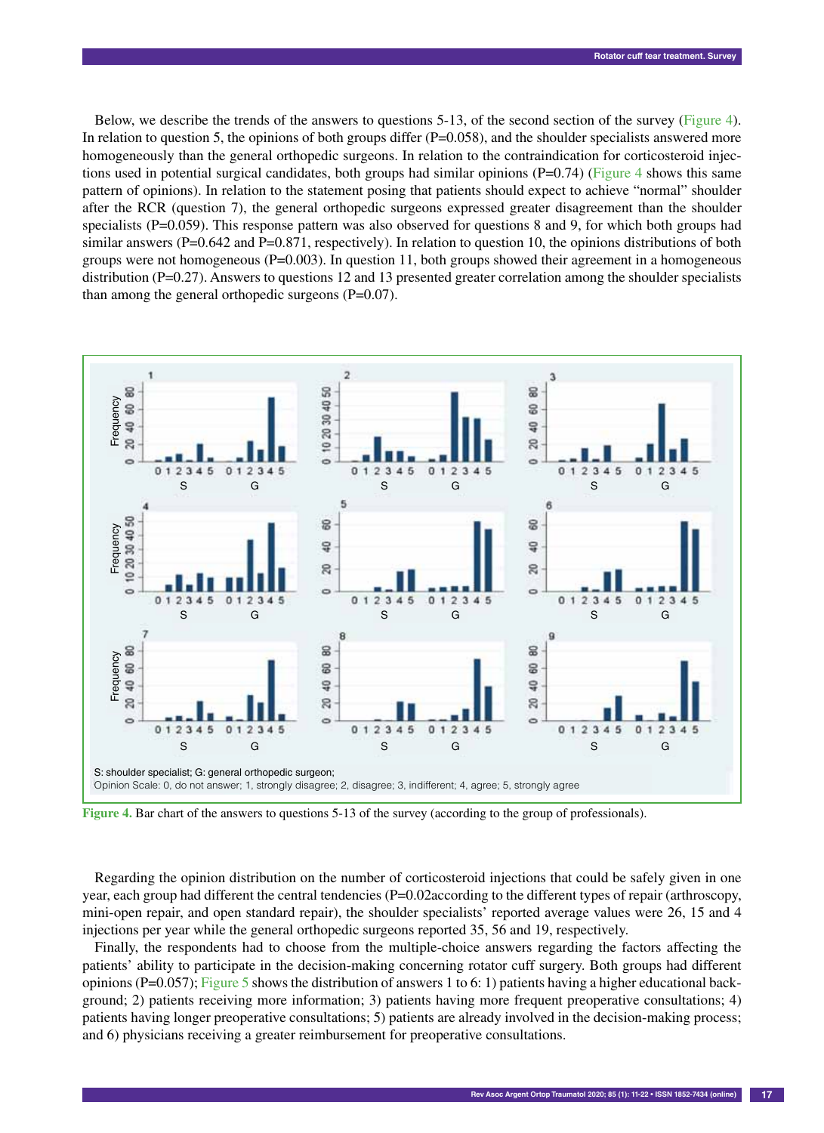Below, we describe the trends of the answers to questions 5-13, of the second section of the survey (Figure 4). In relation to question 5, the opinions of both groups differ  $(P=0.058)$ , and the shoulder specialists answered more homogeneously than the general orthopedic surgeons. In relation to the contraindication for corticosteroid injections used in potential surgical candidates, both groups had similar opinions  $(P=0.74)$  (Figure 4 shows this same pattern of opinions). In relation to the statement posing that patients should expect to achieve "normal" shoulder after the RCR (question 7), the general orthopedic surgeons expressed greater disagreement than the shoulder specialists (P=0.059). This response pattern was also observed for questions 8 and 9, for which both groups had similar answers ( $P=0.642$  and  $P=0.871$ , respectively). In relation to question 10, the opinions distributions of both groups were not homogeneous ( $P=0.003$ ). In question 11, both groups showed their agreement in a homogeneous distribution (P=0.27). Answers to questions 12 and 13 presented greater correlation among the shoulder specialists than among the general orthopedic surgeons  $(P=0.07)$ .



**Figure 4.** Bar chart of the answers to questions 5-13 of the survey (according to the group of professionals).

Regarding the opinion distribution on the number of corticosteroid injections that could be safely given in one year, each group had different the central tendencies (P=0.02according to the different types of repair (arthroscopy, mini-open repair, and open standard repair), the shoulder specialists' reported average values were 26, 15 and 4 injections per year while the general orthopedic surgeons reported 35, 56 and 19, respectively.

Finally, the respondents had to choose from the multiple-choice answers regarding the factors affecting the patients' ability to participate in the decision-making concerning rotator cuff surgery. Both groups had different opinions ( $P=0.057$ ); Figure 5 shows the distribution of answers 1 to 6: 1) patients having a higher educational background; 2) patients receiving more information; 3) patients having more frequent preoperative consultations; 4) patients having longer preoperative consultations; 5) patients are already involved in the decision-making process;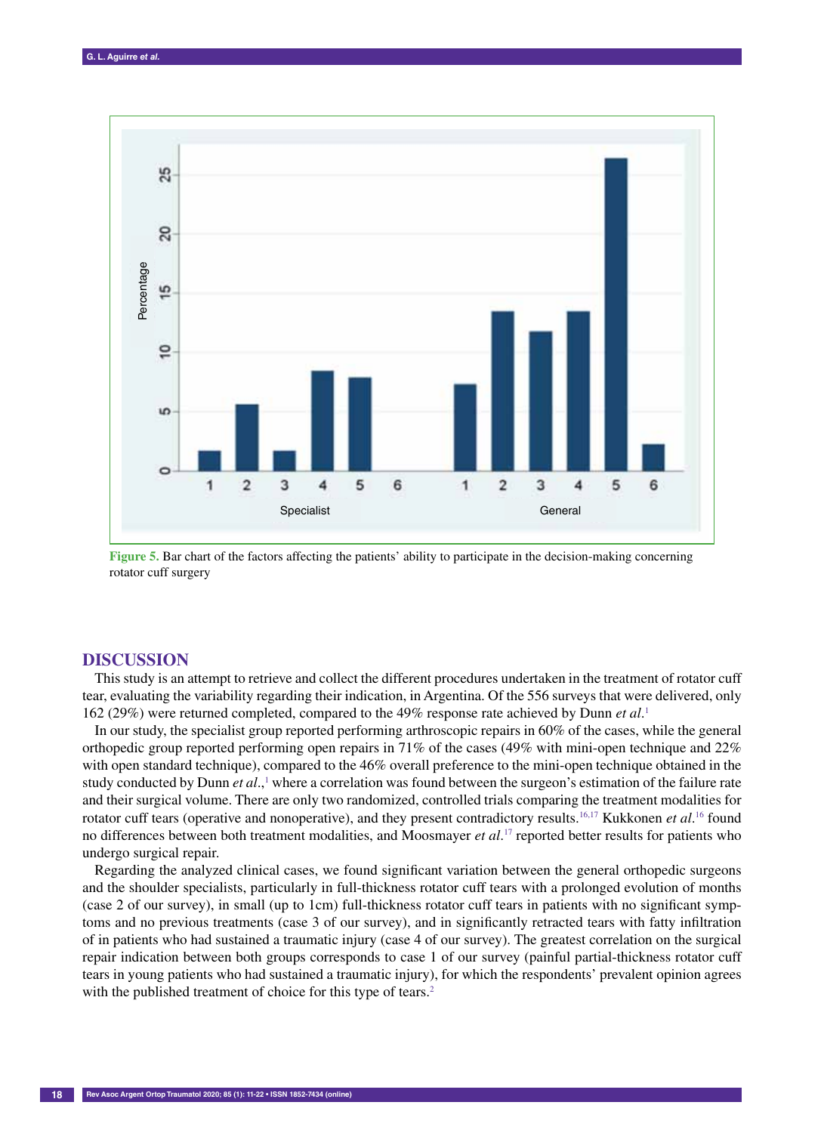

**Figure 5.** Bar chart of the factors affecting the patients' ability to participate in the decision-making concerning rotator cuff surgery

#### **Discussion**

This study is an attempt to retrieve and collect the different procedures undertaken in the treatment of rotator cuff tear, evaluating the variability regarding their indication, in Argentina. Of the 556 surveys that were delivered, only 162 (29%) were returned completed, compared to the 49% response rate achieved by Dunn *et al*. 1

In our study, the specialist group reported performing arthroscopic repairs in 60% of the cases, while the general orthopedic group reported performing open repairs in 71% of the cases (49% with mini-open technique and 22% with open standard technique), compared to the 46% overall preference to the mini-open technique obtained in the study conducted by Dunn *et al.*,<sup>1</sup> where a correlation was found between the surgeon's estimation of the failure rate and their surgical volume. There are only two randomized, controlled trials comparing the treatment modalities for rotator cuff tears (operative and nonoperative), and they present contradictory results.<sup>16,17</sup> Kukkonen *et al*.<sup>16</sup> found no differences between both treatment modalities, and Moosmayer *et al*. 17 reported better results for patients who undergo surgical repair.

Regarding the analyzed clinical cases, we found significant variation between the general orthopedic surgeons and the shoulder specialists, particularly in full-thickness rotator cuff tears with a prolonged evolution of months (case 2 of our survey), in small (up to 1cm) full-thickness rotator cuff tears in patients with no significant symptoms and no previous treatments (case 3 of our survey), and in significantly retracted tears with fatty infiltration of in patients who had sustained a traumatic injury (case 4 of our survey). The greatest correlation on the surgical repair indication between both groups corresponds to case 1 of our survey (painful partial-thickness rotator cuff tears in young patients who had sustained a traumatic injury), for which the respondents' prevalent opinion agrees with the published treatment of choice for this type of tears.<sup>2</sup>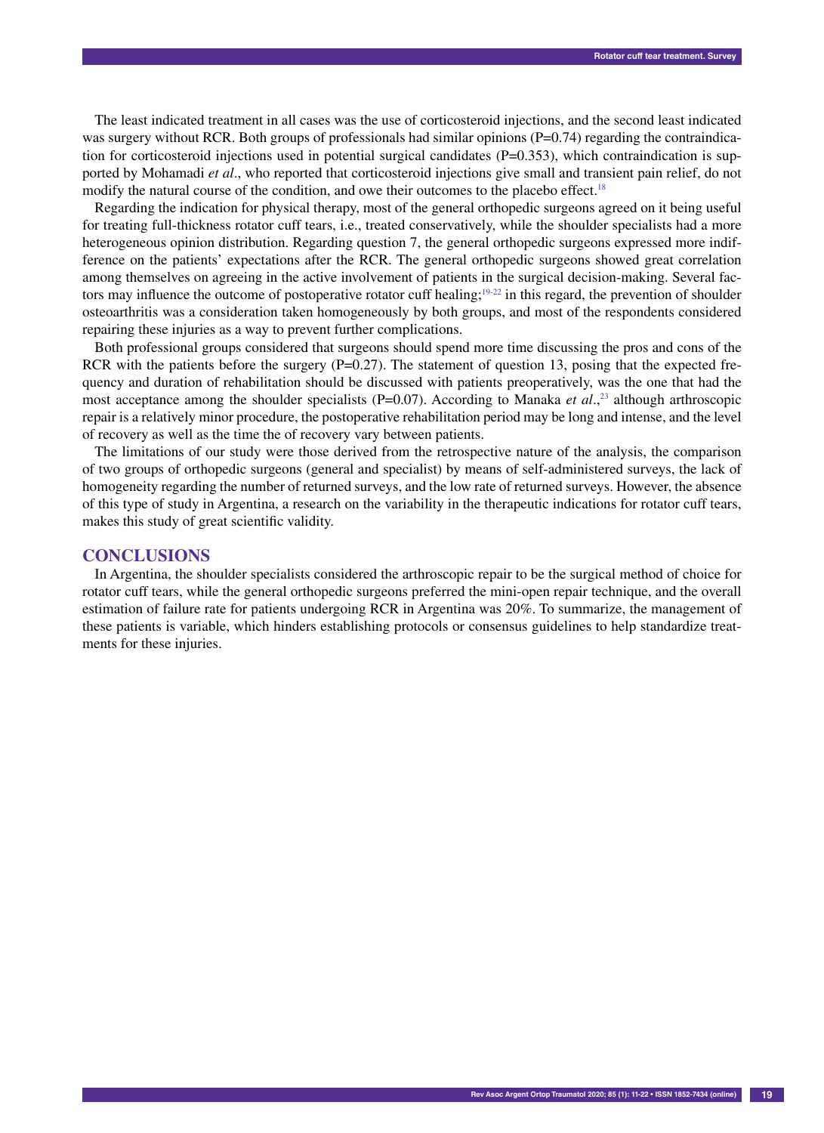The least indicated treatment in all cases was the use of corticosteroid injections, and the second least indicated was surgery without RCR. Both groups of professionals had similar opinions  $(P=0.74)$  regarding the contraindication for corticosteroid injections used in potential surgical candidates  $(P=0.353)$ , which contraindication is supported by Mohamadi *et al*., who reported that corticosteroid injections give small and transient pain relief, do not modify the natural course of the condition, and owe their outcomes to the placebo effect.<sup>18</sup>

Regarding the indication for physical therapy, most of the general orthopedic surgeons agreed on it being useful for treating full-thickness rotator cuff tears, i.e., treated conservatively, while the shoulder specialists had a more heterogeneous opinion distribution. Regarding question 7, the general orthopedic surgeons expressed more indifference on the patients' expectations after the RCR. The general orthopedic surgeons showed great correlation among themselves on agreeing in the active involvement of patients in the surgical decision-making. Several factors may influence the outcome of postoperative rotator cuff healing;<sup>19-22</sup> in this regard, the prevention of shoulder osteoarthritis was a consideration taken homogeneously by both groups, and most of the respondents considered repairing these injuries as a way to prevent further complications.

Both professional groups considered that surgeons should spend more time discussing the pros and cons of the RCR with the patients before the surgery  $(P=0.27)$ . The statement of question 13, posing that the expected frequency and duration of rehabilitation should be discussed with patients preoperatively, was the one that had the most acceptance among the shoulder specialists (P=0.07). According to Manaka *et al.*,<sup>23</sup> although arthroscopic repair is a relatively minor procedure, the postoperative rehabilitation period may be long and intense, and the level of recovery as well as the time the of recovery vary between patients.

The limitations of our study were those derived from the retrospective nature of the analysis, the comparison of two groups of orthopedic surgeons (general and specialist) by means of self-administered surveys, the lack of homogeneity regarding the number of returned surveys, and the low rate of returned surveys. However, the absence of this type of study in Argentina, a research on the variability in the therapeutic indications for rotator cuff tears, makes this study of great scientific validity.

## **Conclusions**

In Argentina, the shoulder specialists considered the arthroscopic repair to be the surgical method of choice for rotator cuff tears, while the general orthopedic surgeons preferred the mini-open repair technique, and the overall estimation of failure rate for patients undergoing RCR in Argentina was 20%. To summarize, the management of these patients is variable, which hinders establishing protocols or consensus guidelines to help standardize treatments for these injuries.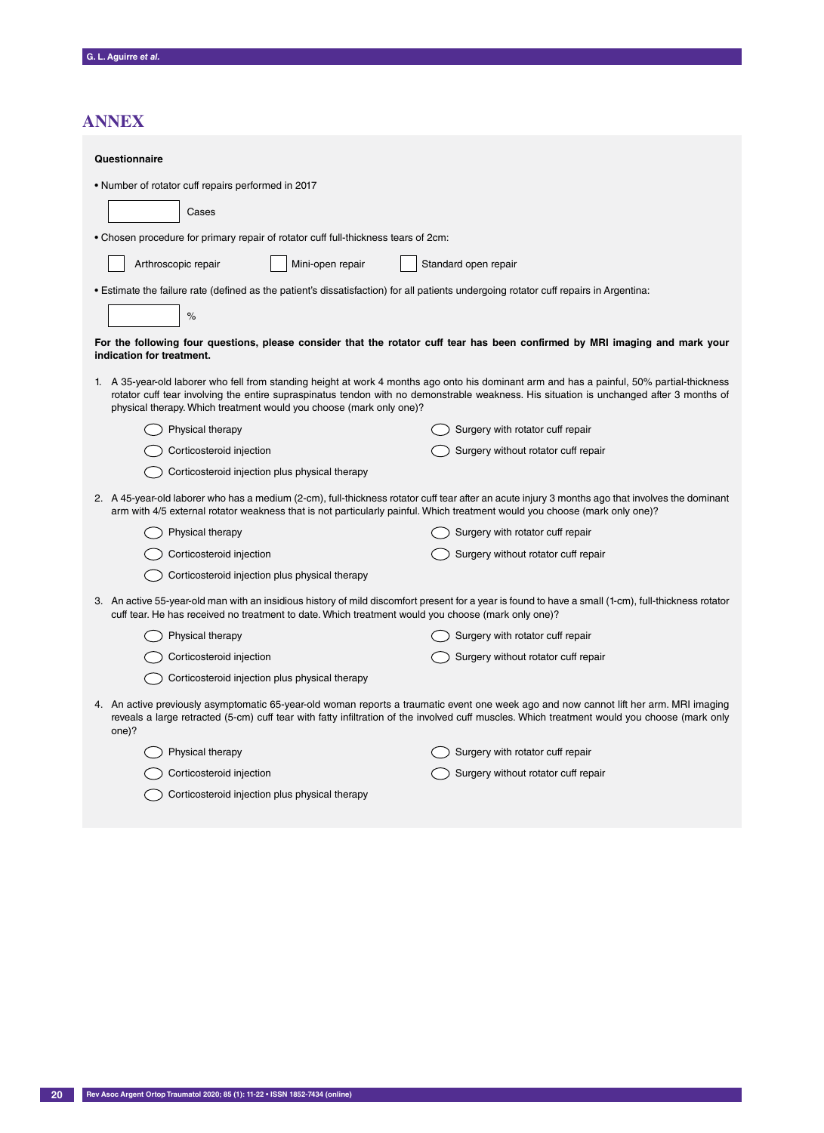# **AnNex**

| Questionnaire                                                                                                                                                                                                                                                                                                                                                |                                     |  |  |  |  |  |
|--------------------------------------------------------------------------------------------------------------------------------------------------------------------------------------------------------------------------------------------------------------------------------------------------------------------------------------------------------------|-------------------------------------|--|--|--|--|--|
| . Number of rotator cuff repairs performed in 2017                                                                                                                                                                                                                                                                                                           |                                     |  |  |  |  |  |
| Cases                                                                                                                                                                                                                                                                                                                                                        |                                     |  |  |  |  |  |
| . Chosen procedure for primary repair of rotator cuff full-thickness tears of 2cm:                                                                                                                                                                                                                                                                           |                                     |  |  |  |  |  |
| Mini-open repair<br>Arthroscopic repair<br>Standard open repair                                                                                                                                                                                                                                                                                              |                                     |  |  |  |  |  |
| • Estimate the failure rate (defined as the patient's dissatisfaction) for all patients undergoing rotator cuff repairs in Argentina:                                                                                                                                                                                                                        |                                     |  |  |  |  |  |
| $\%$                                                                                                                                                                                                                                                                                                                                                         |                                     |  |  |  |  |  |
| For the following four questions, please consider that the rotator cuff tear has been confirmed by MRI imaging and mark your<br>indication for treatment.                                                                                                                                                                                                    |                                     |  |  |  |  |  |
| 1. A 35-year-old laborer who fell from standing height at work 4 months ago onto his dominant arm and has a painful, 50% partial-thickness<br>rotator cuff tear involving the entire supraspinatus tendon with no demonstrable weakness. His situation is unchanged after 3 months of<br>physical therapy. Which treatment would you choose (mark only one)? |                                     |  |  |  |  |  |
| Physical therapy                                                                                                                                                                                                                                                                                                                                             | Surgery with rotator cuff repair    |  |  |  |  |  |
| Corticosteroid injection                                                                                                                                                                                                                                                                                                                                     | Surgery without rotator cuff repair |  |  |  |  |  |
| Corticosteroid injection plus physical therapy                                                                                                                                                                                                                                                                                                               |                                     |  |  |  |  |  |
| 2. A 45-year-old laborer who has a medium (2-cm), full-thickness rotator cuff tear after an acute injury 3 months ago that involves the dominant<br>arm with 4/5 external rotator weakness that is not particularly painful. Which treatment would you choose (mark only one)?                                                                               |                                     |  |  |  |  |  |
| Physical therapy                                                                                                                                                                                                                                                                                                                                             | Surgery with rotator cuff repair    |  |  |  |  |  |
| Corticosteroid injection                                                                                                                                                                                                                                                                                                                                     | Surgery without rotator cuff repair |  |  |  |  |  |
| Corticosteroid injection plus physical therapy                                                                                                                                                                                                                                                                                                               |                                     |  |  |  |  |  |
| 3. An active 55-year-old man with an insidious history of mild discomfort present for a year is found to have a small (1-cm), full-thickness rotator<br>cuff tear. He has received no treatment to date. Which treatment would you choose (mark only one)?                                                                                                   |                                     |  |  |  |  |  |
| Physical therapy                                                                                                                                                                                                                                                                                                                                             | Surgery with rotator cuff repair    |  |  |  |  |  |
| Corticosteroid injection                                                                                                                                                                                                                                                                                                                                     | Surgery without rotator cuff repair |  |  |  |  |  |
| Corticosteroid injection plus physical therapy                                                                                                                                                                                                                                                                                                               |                                     |  |  |  |  |  |
| 4. An active previously asymptomatic 65-year-old woman reports a traumatic event one week ago and now cannot lift her arm. MRI imaging<br>reveals a large retracted (5-cm) cuff tear with fatty infiltration of the involved cuff muscles. Which treatment would you choose (mark only<br>one)?                                                              |                                     |  |  |  |  |  |
| Physical therapy                                                                                                                                                                                                                                                                                                                                             | Surgery with rotator cuff repair    |  |  |  |  |  |
| Corticosteroid injection                                                                                                                                                                                                                                                                                                                                     | Surgery without rotator cuff repair |  |  |  |  |  |
| Corticosteroid injection plus physical therapy                                                                                                                                                                                                                                                                                                               |                                     |  |  |  |  |  |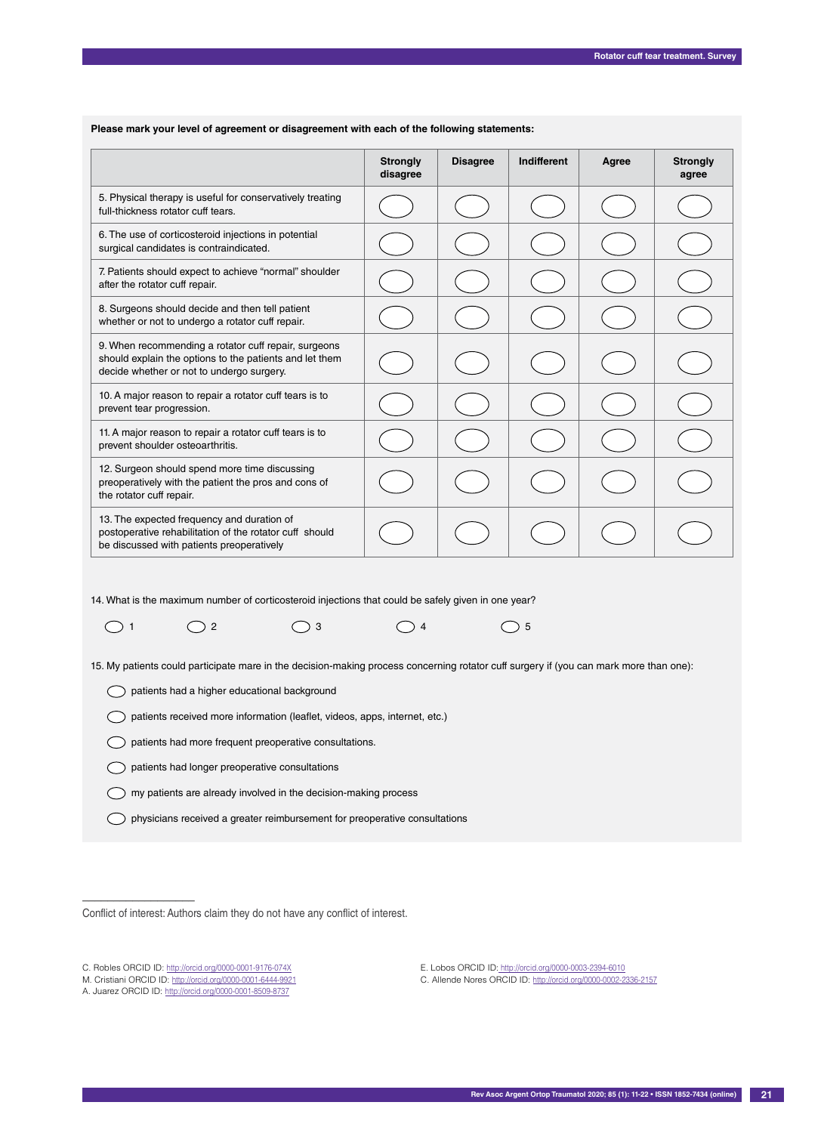|                                                                                                                                                              | <b>Strongly</b><br>disagree | <b>Disagree</b> | Indifferent | Agree | <b>Strongly</b><br>agree |
|--------------------------------------------------------------------------------------------------------------------------------------------------------------|-----------------------------|-----------------|-------------|-------|--------------------------|
| 5. Physical therapy is useful for conservatively treating<br>full-thickness rotator cuff tears.                                                              |                             |                 |             |       |                          |
| 6. The use of corticosteroid injections in potential<br>surgical candidates is contraindicated.                                                              |                             |                 |             |       |                          |
| 7. Patients should expect to achieve "normal" shoulder<br>after the rotator cuff repair.                                                                     |                             |                 |             |       |                          |
| 8. Surgeons should decide and then tell patient<br>whether or not to undergo a rotator cuff repair.                                                          |                             |                 |             |       |                          |
| 9. When recommending a rotator cuff repair, surgeons<br>should explain the options to the patients and let them<br>decide whether or not to undergo surgery. |                             |                 |             |       |                          |
| 10. A major reason to repair a rotator cuff tears is to<br>prevent tear progression.                                                                         |                             |                 |             |       |                          |
| 11. A major reason to repair a rotator cuff tears is to<br>prevent shoulder osteoarthritis.                                                                  |                             |                 |             |       |                          |
| 12. Surgeon should spend more time discussing<br>preoperatively with the patient the pros and cons of<br>the rotator cuff repair.                            |                             |                 |             |       |                          |
| 13. The expected frequency and duration of<br>postoperative rehabilitation of the rotator cuff should<br>be discussed with patients preoperatively           |                             |                 |             |       |                          |

 **Please mark your level of agreement or disagreement with each of the following statements:**

14. What is the maximum number of corticosteroid injections that could be safely given in one year?

 $\bigcirc$  1  $\bigcirc$  2  $\bigcirc$  3  $\bigcirc$  4  $\bigcirc$  5

15. My patients could participate mare in the decision-making process concerning rotator cuff surgery if (you can mark more than one):

patients had a higher educational background

patients received more information (leaflet, videos, apps, internet, etc.)

 $\bigcirc$  patients had more frequent preoperative consultations.

 $\bigcirc$  patients had longer preoperative consultations

 $\bigcirc$  my patients are already involved in the decision-making process

physicians received a greater reimbursement for preoperative consultations

Conflict of interest: Authors claim they do not have any conflict of interest.

––––––––––––––––––

E. Lobos ORCID ID: http://orcid.org/0000-0003-2394-6010 C. Allende Nores ORCID ID: http://orcid.org/0000-0002-2336-2157

C. Robles ORCID ID: http://orcid.org/0000-0001-9176-074X

M. Cristiani ORCID ID: http://orcid.org/0000-0001-6444-9921

A. Juarez ORCID ID: http://orcid.org/0000-0001-8509-8737